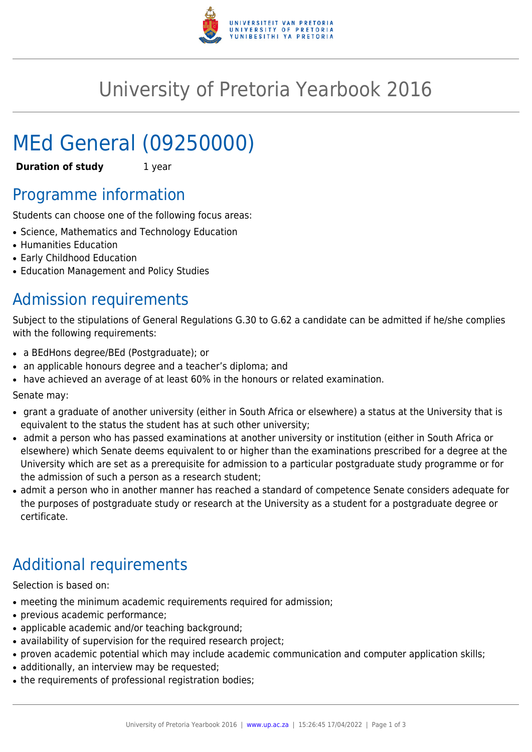

# University of Pretoria Yearbook 2016

# MEd General (09250000)

**Duration of study** 1 year

# Programme information

Students can choose one of the following focus areas:

- Science, Mathematics and Technology Education
- Humanities Education
- Early Childhood Education
- Education Management and Policy Studies

# Admission requirements

Subject to the stipulations of General Regulations G.30 to G.62 a candidate can be admitted if he/she complies with the following requirements:

- a BEdHons degree/BEd (Postgraduate); or
- an applicable honours degree and a teacher's diploma; and
- have achieved an average of at least 60% in the honours or related examination.

Senate may:

- grant a graduate of another university (either in South Africa or elsewhere) a status at the University that is equivalent to the status the student has at such other university;
- admit a person who has passed examinations at another university or institution (either in South Africa or elsewhere) which Senate deems equivalent to or higher than the examinations prescribed for a degree at the University which are set as a prerequisite for admission to a particular postgraduate study programme or for the admission of such a person as a research student;
- admit a person who in another manner has reached a standard of competence Senate considers adequate for the purposes of postgraduate study or research at the University as a student for a postgraduate degree or certificate.

# Additional requirements

Selection is based on:

- meeting the minimum academic requirements required for admission;
- previous academic performance;
- applicable academic and/or teaching background;
- availability of supervision for the required research project;
- proven academic potential which may include academic communication and computer application skills;
- additionally, an interview may be requested;
- the requirements of professional registration bodies;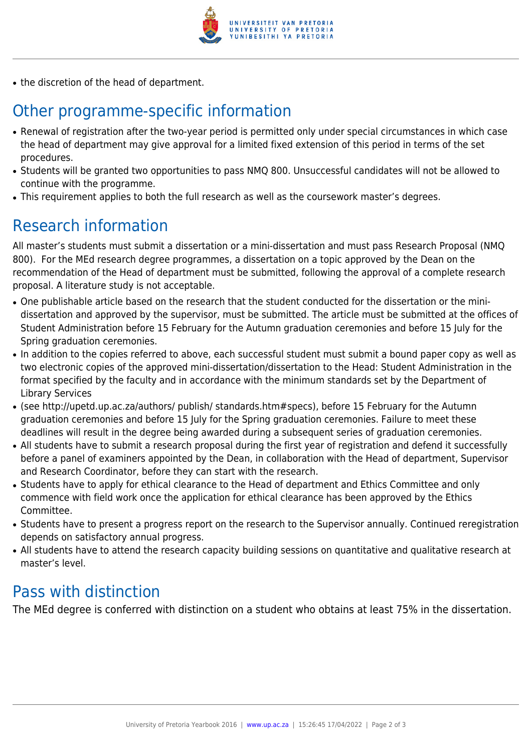

• the discretion of the head of department.

# Other programme-specific information

- Renewal of registration after the two-year period is permitted only under special circumstances in which case the head of department may give approval for a limited fixed extension of this period in terms of the set procedures.
- Students will be granted two opportunities to pass NMQ 800. Unsuccessful candidates will not be allowed to continue with the programme.
- This requirement applies to both the full research as well as the coursework master's degrees.

# Research information

All master's students must submit a dissertation or a mini-dissertation and must pass Research Proposal (NMQ 800). For the MEd research degree programmes, a dissertation on a topic approved by the Dean on the recommendation of the Head of department must be submitted, following the approval of a complete research proposal. A literature study is not acceptable.

- One publishable article based on the research that the student conducted for the dissertation or the minidissertation and approved by the supervisor, must be submitted. The article must be submitted at the offices of Student Administration before 15 February for the Autumn graduation ceremonies and before 15 July for the Spring graduation ceremonies.
- In addition to the copies referred to above, each successful student must submit a bound paper copy as well as two electronic copies of the approved mini-dissertation/dissertation to the Head: Student Administration in the format specified by the faculty and in accordance with the minimum standards set by the Department of Library Services
- (see http://upetd.up.ac.za/authors/ publish/ standards.htm#specs), before 15 February for the Autumn graduation ceremonies and before 15 July for the Spring graduation ceremonies. Failure to meet these deadlines will result in the degree being awarded during a subsequent series of graduation ceremonies.
- All students have to submit a research proposal during the first year of registration and defend it successfully before a panel of examiners appointed by the Dean, in collaboration with the Head of department, Supervisor and Research Coordinator, before they can start with the research.
- Students have to apply for ethical clearance to the Head of department and Ethics Committee and only commence with field work once the application for ethical clearance has been approved by the Ethics Committee.
- Students have to present a progress report on the research to the Supervisor annually. Continued reregistration depends on satisfactory annual progress.
- All students have to attend the research capacity building sessions on quantitative and qualitative research at master's level.

### Pass with distinction

The MEd degree is conferred with distinction on a student who obtains at least 75% in the dissertation.